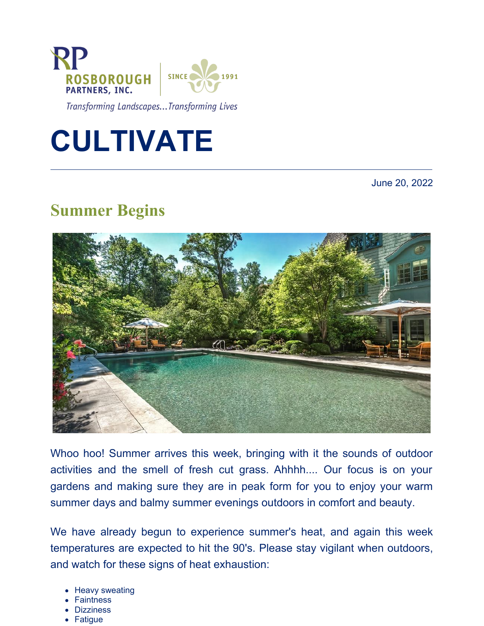

Transforming Landscapes...Transforming Lives



June 20, 2022

# **Summer Begins**



Whoo hoo! Summer arrives this week, bringing with it the sounds of outdoor activities and the smell of fresh cut grass. Ahhhh.... Our focus is on your gardens and making sure they are in peak form for you to enjoy your warm summer days and balmy summer evenings outdoors in comfort and beauty.

We have already begun to experience summer's heat, and again this week temperatures are expected to hit the 90's. Please stay vigilant when outdoors, and watch for these signs of heat exhaustion:

- Heavy sweating
- **Faintness**
- Dizziness
- **Fatigue**
-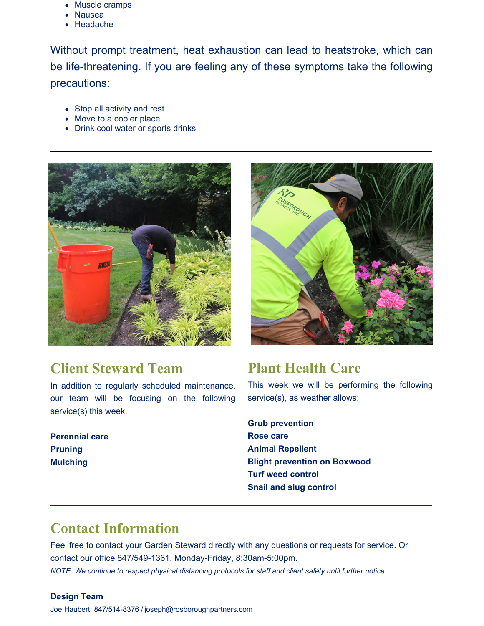- Muscle cramps
- Nausea
- Headache

Without prompt treatment, heat exhaustion can lead to heatstroke, which can be life-threatening. If you are feeling any of these symptoms take the following precautions:

- Stop all activity and rest
- Move to a cooler place
- Drink cool water or sports drinks



### **Client Steward Team**

In addition to regularly scheduled maintenance, our team will be focusing on the following service(s) this week:

**Perennial care Pruning Mulching**



### **Plant Health Care**

This week we will be performing the following service(s), as weather allows:

**Grub prevention Rose care Animal Repellent Blight prevention on Boxwood Turf weed control Snail and slug control**

## **Contact Information**

Feel free to contact your Garden Steward directly with any questions or requests for service. Or contact our office 847/549-1361, Monday-Friday, 8:30am-5:00pm.

*NOTE: We continue to respect physical distancing protocols for staff and client safety until further notice.*

#### **Design Team**

Joe Haubert: 847/514-8376 / [joseph@rosboroughpartners.com](https://mail.rosboroughpartners.com/OWA/redir.aspx?C=3DAvsKT-c93W3n5T8bB5WmGvS3o9t0iMK1Ti9jyFNiozFqek7tjYCA..&URL=mailto%3ajoseph%40rosboroughpartners.com)